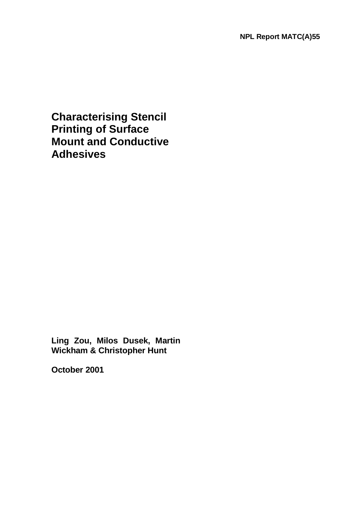**Characterising Stencil Printing of Surface Mount and Conductive Adhesives**

**Ling Zou, Milos Dusek, Martin Wickham & Christopher Hunt** 

**October 2001**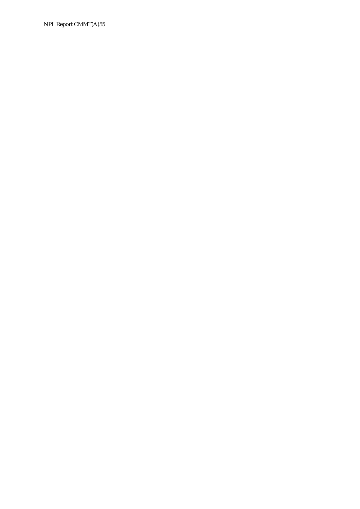NPL Report CMMT(A)55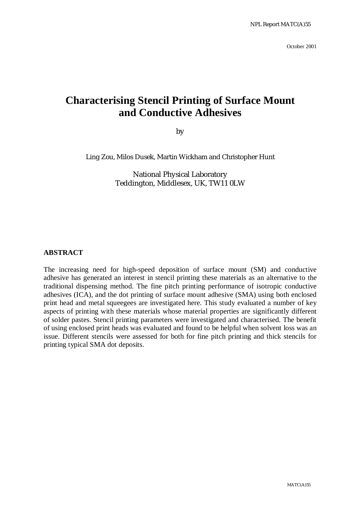October 2001

# **Characterising Stencil Printing of Surface Mount and Conductive Adhesives**

by

Ling Zou, Milos Dusek, Martin Wickham and Christopher Hunt

National Physical Laboratory Teddington, Middlesex, UK, TW11 0LW

#### **ABSTRACT**

The increasing need for high-speed deposition of surface mount (SM) and conductive adhesive has generated an interest in stencil printing these materials as an alternative to the traditional dispensing method. The fine pitch printing performance of isotropic conductive adhesives (ICA), and the dot printing of surface mount adhesive (SMA) using both enclosed print head and metal squeegees are investigated here. This study evaluated a number of key aspects of printing with these materials whose material properties are significantly different of solder pastes. Stencil printing parameters were investigated and characterised. The benefit of using enclosed print heads was evaluated and found to be helpful when solvent loss was an issue. Different stencils were assessed for both for fine pitch printing and thick stencils for printing typical SMA dot deposits.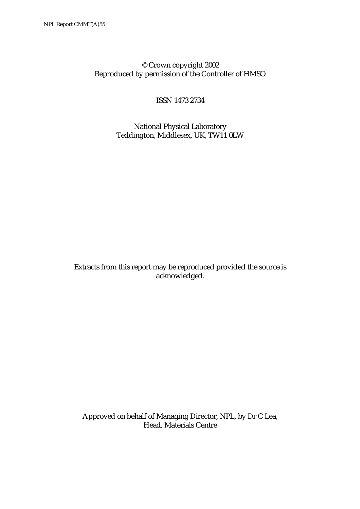© Crown copyright 2002 Reproduced by permission of the Controller of HMSO

ISSN 1473 2734

National Physical Laboratory Teddington, Middlesex, UK, TW11 0LW

Extracts from this report may be reproduced provided the source is acknowledged.

Approved on behalf of Managing Director, NPL, by Dr C Lea, Head, Materials Centre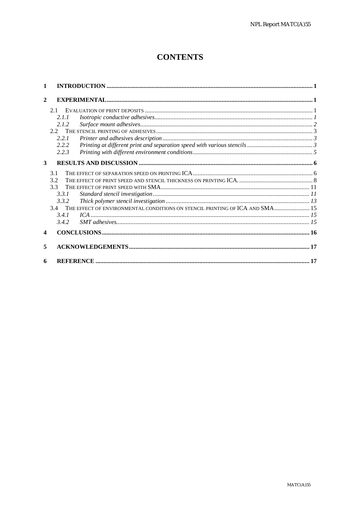## **CONTENTS**

| 1            |                                                                                                                                             |  |
|--------------|---------------------------------------------------------------------------------------------------------------------------------------------|--|
| $\mathbf{2}$ |                                                                                                                                             |  |
|              | 2.1<br>2.1.1<br>2.1.2<br>22<br>2.2.1<br>2.2.2<br>2.2.3                                                                                      |  |
| 3            |                                                                                                                                             |  |
|              | 3.1<br>3.2<br>33<br>3.3.1<br>3.3.2<br>THE EFFECT OF ENVIRONMENTAL CONDITIONS ON STENCIL PRINTING OF ICA AND SMA 15<br>3.4<br>3.4.1<br>3.4.2 |  |
| 4            |                                                                                                                                             |  |
| 5            |                                                                                                                                             |  |
| 6            |                                                                                                                                             |  |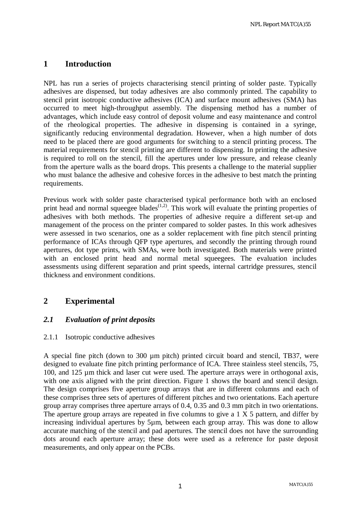### **1 Introduction**

NPL has run a series of projects characterising stencil printing of solder paste. Typically adhesives are dispensed, but today adhesives are also commonly printed. The capability to stencil print isotropic conductive adhesives (ICA) and surface mount adhesives (SMA) has occurred to meet high-throughput assembly. The dispensing method has a number of advantages, which include easy control of deposit volume and easy maintenance and control of the rheological properties. The adhesive in dispensing is contained in a syringe, significantly reducing environmental degradation. However, when a high number of dots need to be placed there are good arguments for switching to a stencil printing process. The material requirements for stencil printing are different to dispensing. In printing the adhesive is required to roll on the stencil, fill the apertures under low pressure, and release cleanly from the aperture walls as the board drops. This presents a challenge to the material supplier who must balance the adhesive and cohesive forces in the adhesive to best match the printing requirements.

Previous work with solder paste characterised typical performance both with an enclosed print head and normal squeegee blades<sup> $(1,2)$ </sup>. This work will evaluate the printing properties of adhesives with both methods. The properties of adhesive require a different set-up and management of the process on the printer compared to solder pastes. In this work adhesives were assessed in two scenarios, one as a solder replacement with fine pitch stencil printing performance of ICAs through QFP type apertures, and secondly the printing through round apertures, dot type prints, with SMAs, were both investigated. Both materials were printed with an enclosed print head and normal metal squeegees. The evaluation includes assessments using different separation and print speeds, internal cartridge pressures, stencil thickness and environment conditions.

### **2 Experimental**

### *2.1 Evaluation of print deposits*

#### 2.1.1 Isotropic conductive adhesives

A special fine pitch (down to 300  $\mu$ m pitch) printed circuit board and stencil, TB37, were designed to evaluate fine pitch printing performance of ICA. Three stainless steel stencils, 75, 100, and 125 µm thick and laser cut were used. The aperture arrays were in orthogonal axis, with one axis aligned with the print direction. Figure 1 shows the board and stencil design. The design comprises five aperture group arrays that are in different columns and each of these comprises three sets of apertures of different pitches and two orientations. Each aperture group array comprises three aperture arrays of 0.4, 0.35 and 0.3 mm pitch in two orientations. The aperture group arrays are repeated in five columns to give a 1 X 5 pattern, and differ by increasing individual apertures by 5µm, between each group array. This was done to allow accurate matching of the stencil and pad apertures. The stencil does not have the surrounding dots around each aperture array; these dots were used as a reference for paste deposit measurements, and only appear on the PCBs.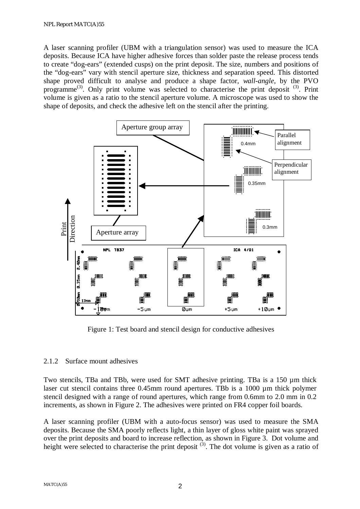A laser scanning profiler (UBM with a triangulation sensor) was used to measure the ICA deposits. Because ICA have higher adhesive forces than solder paste the release process tends to create "dog-ears" (extended cusps) on the print deposit. The size, numbers and positions of the "dog-ears" vary with stencil aperture size, thickness and separation speed. This distorted shape proved difficult to analyse and produce a shape factor, *wall-angle*, by the PVO programme<sup>(3)</sup>. Only print volume was selected to characterise the print deposit  $(3)$ . Print volume is given as a ratio to the stencil aperture volume. A microscope was used to show the shape of deposits, and check the adhesive left on the stencil after the printing.



Figure 1: Test board and stencil design for conductive adhesives

#### 2.1.2 Surface mount adhesives

Two stencils, TBa and TBb, were used for SMT adhesive printing. TBa is a 150 µm thick laser cut stencil contains three 0.45mm round apertures. TBb is a 1000 µm thick polymer stencil designed with a range of round apertures, which range from 0.6mm to 2.0 mm in 0.2 increments, as shown in Figure 2. The adhesives were printed on FR4 copper foil boards.

A laser scanning profiler (UBM with a auto-focus sensor) was used to measure the SMA deposits. Because the SMA poorly reflects light, a thin layer of gloss white paint was sprayed over the print deposits and board to increase reflection, as shown in Figure 3. Dot volume and height were selected to characterise the print deposit  $(3)$ . The dot volume is given as a ratio of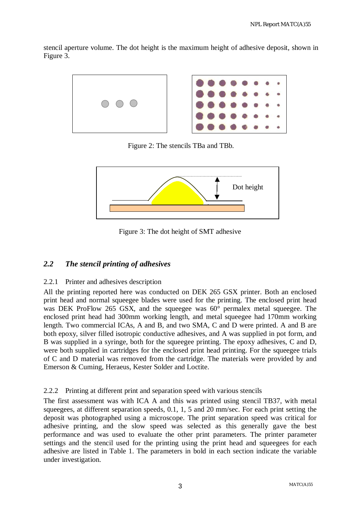stencil aperture volume. The dot height is the maximum height of adhesive deposit, shown in Figure 3.



Figure 2: The stencils TBa and TBb.



Figure 3: The dot height of SMT adhesive

### *2.2 The stencil printing of adhesives*

### 2.2.1 Printer and adhesives description

All the printing reported here was conducted on DEK 265 GSX printer. Both an enclosed print head and normal squeegee blades were used for the printing. The enclosed print head was DEK ProFlow 265 GSX, and the squeegee was 60° permalex metal squeegee. The enclosed print head had 300mm working length, and metal squeegee had 170mm working length. Two commercial ICAs, A and B, and two SMA, C and D were printed. A and B are both epoxy, silver filled isotropic conductive adhesives, and A was supplied in pot form, and B was supplied in a syringe, both for the squeegee printing. The epoxy adhesives, C and D, were both supplied in cartridges for the enclosed print head printing. For the squeegee trials of C and D material was removed from the cartridge. The materials were provided by and Emerson & Cuming, Heraeus, Kester Solder and Loctite.

### 2.2.2 Printing at different print and separation speed with various stencils

The first assessment was with ICA A and this was printed using stencil TB37, with metal squeegees, at different separation speeds, 0.1, 1, 5 and 20 mm/sec. For each print setting the deposit was photographed using a microscope. The print separation speed was critical for adhesive printing, and the slow speed was selected as this generally gave the best performance and was used to evaluate the other print parameters. The printer parameter settings and the stencil used for the printing using the print head and squeegees for each adhesive are listed in Table 1. The parameters in bold in each section indicate the variable under investigation.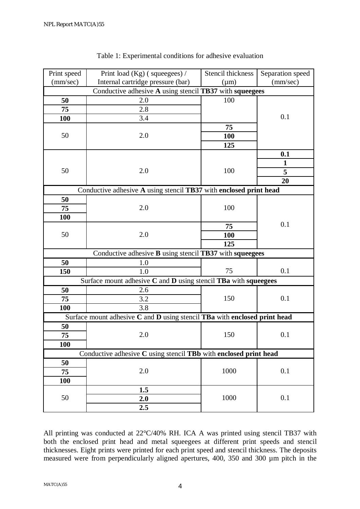| Print speed                                                               | Print load (Kg) (squeegees) /     | Stencil thickness | Separation speed |  |  |  |  |
|---------------------------------------------------------------------------|-----------------------------------|-------------------|------------------|--|--|--|--|
| (mm/sec)                                                                  | Internal cartridge pressure (bar) | $(\mu m)$         | (mm/sec)         |  |  |  |  |
| Conductive adhesive A using stencil TB37 with squeegees                   |                                   |                   |                  |  |  |  |  |
| 50                                                                        | 2.0                               | 100               |                  |  |  |  |  |
| 75                                                                        | 2.8                               |                   |                  |  |  |  |  |
| 100                                                                       | 3.4                               |                   | 0.1              |  |  |  |  |
|                                                                           |                                   | 75                |                  |  |  |  |  |
| 50                                                                        | 2.0                               | <b>100</b>        |                  |  |  |  |  |
|                                                                           |                                   | 125               |                  |  |  |  |  |
|                                                                           |                                   |                   | 0.1              |  |  |  |  |
|                                                                           |                                   |                   | $\mathbf{1}$     |  |  |  |  |
| 50                                                                        | 2.0                               | 100               | 5                |  |  |  |  |
|                                                                           |                                   |                   |                  |  |  |  |  |
| 20<br>Conductive adhesive A using stencil TB37 with enclosed print head   |                                   |                   |                  |  |  |  |  |
|                                                                           |                                   |                   |                  |  |  |  |  |
| 50                                                                        |                                   |                   |                  |  |  |  |  |
| 75                                                                        | 2.0                               | 100               |                  |  |  |  |  |
| 100                                                                       |                                   |                   |                  |  |  |  |  |
|                                                                           |                                   | 75                | 0.1              |  |  |  |  |
| 50                                                                        | 2.0                               | 100               |                  |  |  |  |  |
|                                                                           |                                   | 125               |                  |  |  |  |  |
| Conductive adhesive B using stencil TB37 with squeegees                   |                                   |                   |                  |  |  |  |  |
| 50                                                                        | 1.0                               |                   |                  |  |  |  |  |
| 150                                                                       | 1.0                               | 75                | 0.1              |  |  |  |  |
| Surface mount adhesive C and D using stencil TBa with squeegees           |                                   |                   |                  |  |  |  |  |
| 50                                                                        | 2.6                               |                   |                  |  |  |  |  |
| 75                                                                        | 3.2                               | 150               | 0.1              |  |  |  |  |
|                                                                           | 3.8                               |                   |                  |  |  |  |  |
| 100                                                                       |                                   |                   |                  |  |  |  |  |
| Surface mount adhesive C and D using stencil TBa with enclosed print head |                                   |                   |                  |  |  |  |  |
| 50                                                                        |                                   |                   |                  |  |  |  |  |
| 75                                                                        | 2.0                               | 150               | 0.1              |  |  |  |  |
| 100                                                                       |                                   |                   |                  |  |  |  |  |
| Conductive adhesive C using stencil TBb with enclosed print head          |                                   |                   |                  |  |  |  |  |
| 50                                                                        |                                   |                   |                  |  |  |  |  |
| 75                                                                        | 2.0                               | 1000              | 0.1              |  |  |  |  |
| 100                                                                       |                                   |                   |                  |  |  |  |  |
|                                                                           | 1.5                               |                   |                  |  |  |  |  |
| 50                                                                        | 2.0                               | 1000              | 0.1              |  |  |  |  |
|                                                                           | 2.5                               |                   |                  |  |  |  |  |
|                                                                           |                                   |                   |                  |  |  |  |  |

#### Table 1: Experimental conditions for adhesive evaluation

All printing was conducted at 22°C/40% RH. ICA A was printed using stencil TB37 with both the enclosed print head and metal squeegees at different print speeds and stencil thicknesses. Eight prints were printed for each print speed and stencil thickness. The deposits measured were from perpendicularly aligned apertures, 400, 350 and 300 µm pitch in the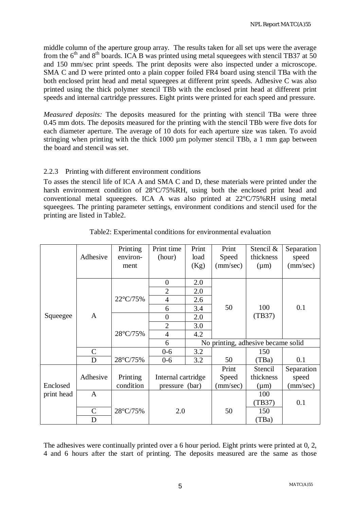middle column of the aperture group array. The results taken for all set ups were the average from the  $6<sup>th</sup>$  and  $8<sup>th</sup>$  boards. ICA B was printed using metal squeegees with stencil TB37 at 50 and 150 mm/sec print speeds. The print deposits were also inspected under a microscope. SMA C and D were printed onto a plain copper foiled FR4 board using stencil TBa with the both enclosed print head and metal squeegees at different print speeds. Adhesive C was also printed using the thick polymer stencil TBb with the enclosed print head at different print speeds and internal cartridge pressures. Eight prints were printed for each speed and pressure.

*Measured deposits:* The deposits measured for the printing with stencil TBa were three 0.45 mm dots. The deposits measured for the printing with the stencil TBb were five dots for each diameter aperture. The average of 10 dots for each aperture size was taken. To avoid stringing when printing with the thick 1000 µm polymer stencil TBb, a 1 mm gap between the board and stencil was set.

### 2.2.3 Printing with different environment conditions

To asses the stencil life of ICA A and SMA C and D, these materials were printed under the harsh environment condition of 28°C/75%RH, using both the enclosed print head and conventional metal squeegees. ICA A was also printed at 22°C/75%RH using metal squeegees. The printing parameter settings, environment conditions and stencil used for the printing are listed in Table2.

|            |                          | Printing | Print time         | Print                              | Print    | Stencil & | Separation |
|------------|--------------------------|----------|--------------------|------------------------------------|----------|-----------|------------|
|            | Adhesive                 | environ- | (hour)             | load                               | Speed    | thickness | speed      |
|            |                          | ment     |                    | (Kg)                               | (mm/sec) | $(\mu m)$ | (mm/sec)   |
|            |                          |          |                    |                                    |          |           |            |
|            |                          |          | $\overline{0}$     | 2.0                                |          |           |            |
|            |                          | 22°C/75% | $\overline{2}$     | 2.0                                |          |           |            |
|            |                          |          | 4                  | 2.6                                |          |           |            |
|            |                          |          | 6                  | 3.4                                | 50       | 100       | 0.1        |
| Squeegee   | A                        |          | $\overline{0}$     | 2.0                                |          | (TB37)    |            |
|            |                          |          | $\overline{2}$     | 3.0                                |          |           |            |
|            |                          | 28°C/75% | $\overline{4}$     | 4.2                                |          |           |            |
|            |                          |          | 6                  | No printing, adhesive became solid |          |           |            |
|            | $\mathcal{C}$            |          | $0-6$              | 3.2                                |          | 150       |            |
|            | D                        | 28°C/75% | $0-6$              | 3.2                                | 50       | (TBa)     | 0.1        |
|            |                          |          |                    |                                    | Print    | Stencil   | Separation |
|            | Adhesive                 | Printing | Internal cartridge |                                    | Speed    | thickness | speed      |
| Enclosed   | condition                |          | pressure (bar)     |                                    | (mm/sec) | $(\mu m)$ | (mm/sec)   |
| print head | A                        |          |                    |                                    |          | 100       |            |
|            |                          |          |                    |                                    |          | (TB37)    | 0.1        |
|            | 28°C/75%<br>$\mathsf{C}$ |          |                    | 2.0                                |          | 150       |            |
|            | D                        |          |                    |                                    |          | (TBa)     |            |

|  |  | Table2: Experimental conditions for environmental evaluation |  |
|--|--|--------------------------------------------------------------|--|
|  |  |                                                              |  |

The adhesives were continually printed over a 6 hour period. Eight prints were printed at 0, 2, 4 and 6 hours after the start of printing. The deposits measured are the same as those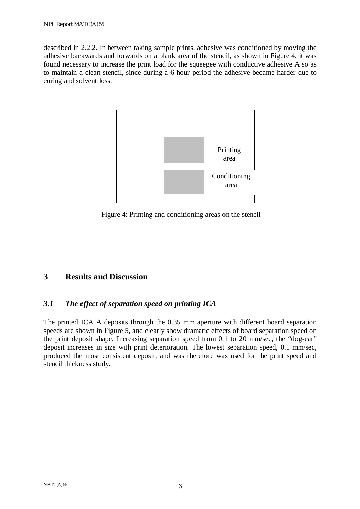described in 2.2.2. In between taking sample prints, adhesive was conditioned by moving the adhesive backwards and forwards on a blank area of the stencil, as shown in Figure 4. it was found necessary to increase the print load for the squeegee with conductive adhesive A so as to maintain a clean stencil, since during a 6 hour period the adhesive became harder due to curing and solvent loss.



Figure 4: Printing and conditioning areas on the stencil

## **3 Results and Discussion**

### *3.1 The effect of separation speed on printing ICA*

The printed ICA A deposits through the 0.35 mm aperture with different board separation speeds are shown in Figure 5, and clearly show dramatic effects of board separation speed on the print deposit shape. Increasing separation speed from 0.1 to 20 mm/sec, the "dog-ear" deposit increases in size with print deterioration. The lowest separation speed, 0.1 mm/sec, produced the most consistent deposit, and was therefore was used for the print speed and stencil thickness study.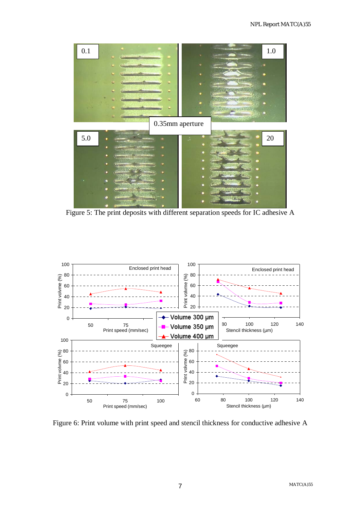

Figure 5: The print deposits with different separation speeds for IC adhesive A



Figure 6: Print volume with print speed and stencil thickness for conductive adhesive A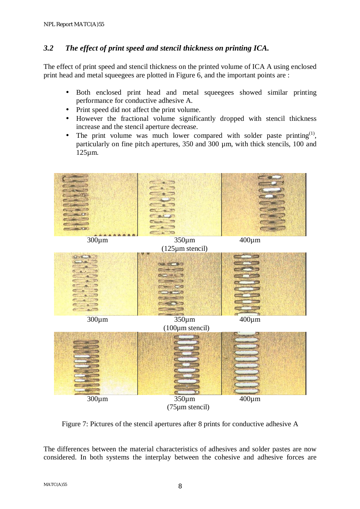### *3.2 The effect of print speed and stencil thickness on printing ICA.*

The effect of print speed and stencil thickness on the printed volume of ICA A using enclosed print head and metal squeegees are plotted in Figure 6, and the important points are :

- Both enclosed print head and metal squeegees showed similar printing performance for conductive adhesive A.
- Print speed did not affect the print volume.
- However the fractional volume significantly dropped with stencil thickness increase and the stencil aperture decrease.
- The print volume was much lower compared with solder paste printing<sup>(1)</sup>, particularly on fine pitch apertures, 350 and 300 µm, with thick stencils, 100 and 125µm.



Figure 7: Pictures of the stencil apertures after 8 prints for conductive adhesive A

The differences between the material characteristics of adhesives and solder pastes are now considered. In both systems the interplay between the cohesive and adhesive forces are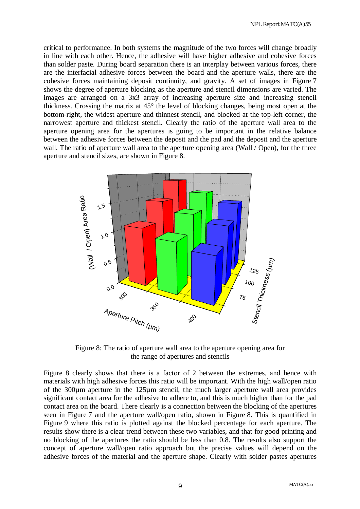critical to performance. In both systems the magnitude of the two forces will change broadly in line with each other. Hence, the adhesive will have higher adhesive and cohesive forces than solder paste. During board separation there is an interplay between various forces, there are the interfacial adhesive forces between the board and the aperture walls, there are the cohesive forces maintaining deposit continuity, and gravity. A set of images in Figure 7 shows the degree of aperture blocking as the aperture and stencil dimensions are varied. The images are arranged on a 3x3 array of increasing aperture size and increasing stencil thickness. Crossing the matrix at 45° the level of blocking changes, being most open at the bottom-right, the widest aperture and thinnest stencil, and blocked at the top-left corner, the narrowest aperture and thickest stencil. Clearly the ratio of the aperture wall area to the aperture opening area for the apertures is going to be important in the relative balance between the adhesive forces between the deposit and the pad and the deposit and the aperture wall. The ratio of aperture wall area to the aperture opening area (Wall / Open), for the three aperture and stencil sizes, are shown in Figure 8.



Figure 8: The ratio of aperture wall area to the aperture opening area for the range of apertures and stencils

Figure 8 clearly shows that there is a factor of 2 between the extremes, and hence with materials with high adhesive forces this ratio will be important. With the high wall/open ratio of the 300µm aperture in the 125µm stencil, the much larger aperture wall area provides significant contact area for the adhesive to adhere to, and this is much higher than for the pad contact area on the board. There clearly is a connection between the blocking of the apertures seen in Figure 7 and the aperture wall/open ratio, shown in Figure 8. This is quantified in Figure 9 where this ratio is plotted against the blocked percentage for each aperture. The results show there is a clear trend between these two variables, and that for good printing and no blocking of the apertures the ratio should be less than 0.8. The results also support the concept of aperture wall/open ratio approach but the precise values will depend on the adhesive forces of the material and the aperture shape. Clearly with solder pastes apertures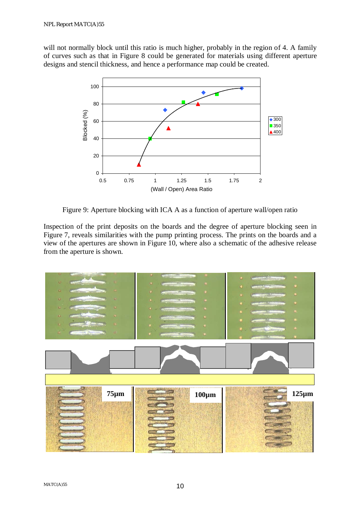will not normally block until this ratio is much higher, probably in the region of 4. A family of curves such as that in Figure 8 could be generated for materials using different aperture designs and stencil thickness, and hence a performance map could be created.



Figure 9: Aperture blocking with ICA A as a function of aperture wall/open ratio

Inspection of the print deposits on the boards and the degree of aperture blocking seen in Figure 7, reveals similarities with the pump printing process. The prints on the boards and a view of the apertures are shown in Figure 10, where also a schematic of the adhesive release from the aperture is shown.

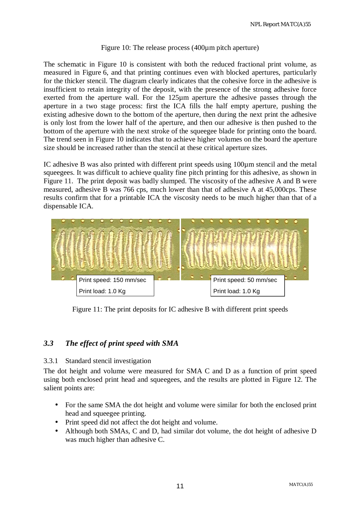#### Figure 10: The release process (400µm pitch aperture)

The schematic in Figure 10 is consistent with both the reduced fractional print volume, as measured in Figure 6, and that printing continues even with blocked apertures, particularly for the thicker stencil. The diagram clearly indicates that the cohesive force in the adhesive is insufficient to retain integrity of the deposit, with the presence of the strong adhesive force exerted from the aperture wall. For the 125µm aperture the adhesive passes through the aperture in a two stage process: first the ICA fills the half empty aperture, pushing the existing adhesive down to the bottom of the aperture, then during the next print the adhesive is only lost from the lower half of the aperture, and then our adhesive is then pushed to the bottom of the aperture with the next stroke of the squeegee blade for printing onto the board. The trend seen in Figure 10 indicates that to achieve higher volumes on the board the aperture size should be increased rather than the stencil at these critical aperture sizes.

IC adhesive B was also printed with different print speeds using 100µm stencil and the metal squeegees. It was difficult to achieve quality fine pitch printing for this adhesive, as shown in Figure 11. The print deposit was badly slumped. The viscosity of the adhesive A and B were measured, adhesive B was 766 cps, much lower than that of adhesive A at 45,000cps. These results confirm that for a printable ICA the viscosity needs to be much higher than that of a dispensable ICA.



Figure 11: The print deposits for IC adhesive B with different print speeds

### *3.3 The effect of print speed with SMA*

### 3.3.1 Standard stencil investigation

The dot height and volume were measured for SMA C and D as a function of print speed using both enclosed print head and squeegees, and the results are plotted in Figure 12. The salient points are:

- For the same SMA the dot height and volume were similar for both the enclosed print head and squeegee printing.
- Print speed did not affect the dot height and volume.
- Although both SMAs, C and D, had similar dot volume, the dot height of adhesive D was much higher than adhesive C.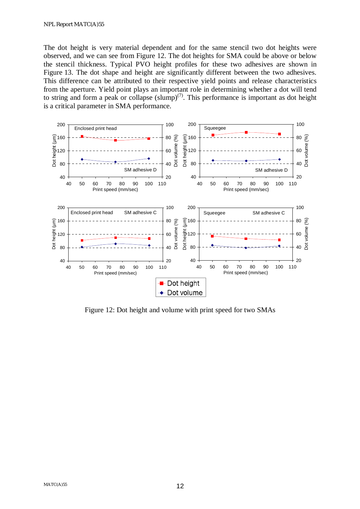The dot height is very material dependent and for the same stencil two dot heights were observed, and we can see from Figure 12. The dot heights for SMA could be above or below the stencil thickness. Typical PVO height profiles for these two adhesives are shown in Figure 13. The dot shape and height are significantly different between the two adhesives. This difference can be attributed to their respective yield points and release characteristics from the aperture. Yield point plays an important role in determining whether a dot will tend to string and form a peak or collapse (slump)<sup>(7)</sup>. This performance is important as dot height is a critical parameter in SMA performance.



Figure 12: Dot height and volume with print speed for two SMAs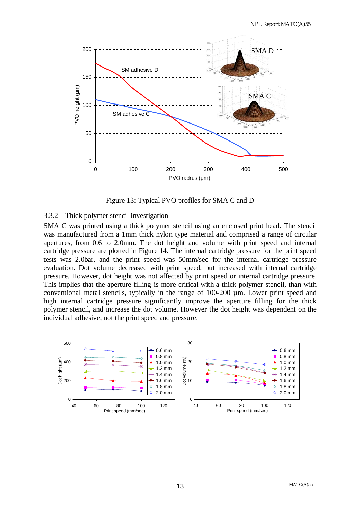

Figure 13: Typical PVO profiles for SMA C and D

#### 3.3.2 Thick polymer stencil investigation

SMA C was printed using a thick polymer stencil using an enclosed print head. The stencil was manufactured from a 1mm thick nylon type material and comprised a range of circular apertures, from 0.6 to 2.0mm. The dot height and volume with print speed and internal cartridge pressure are plotted in Figure 14. The internal cartridge pressure for the print speed tests was 2.0bar, and the print speed was 50mm/sec for the internal cartridge pressure evaluation. Dot volume decreased with print speed, but increased with internal cartridge pressure. However, dot height was not affected by print speed or internal cartridge pressure. This implies that the aperture filling is more critical with a thick polymer stencil, than with conventional metal stencils, typically in the range of 100-200 µm. Lower print speed and high internal cartridge pressure significantly improve the aperture filling for the thick polymer stencil, and increase the dot volume. However the dot height was dependent on the individual adhesive, not the print speed and pressure.

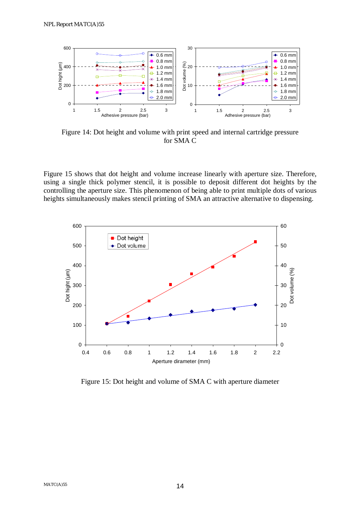

Figure 14: Dot height and volume with print speed and internal cartridge pressure for SMA C

Figure 15 shows that dot height and volume increase linearly with aperture size. Therefore, using a single thick polymer stencil, it is possible to deposit different dot heights by the controlling the aperture size. This phenomenon of being able to print multiple dots of various heights simultaneously makes stencil printing of SMA an attractive alternative to dispensing.



Figure 15: Dot height and volume of SMA C with aperture diameter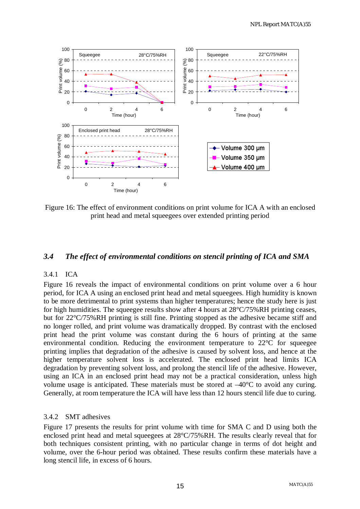

Figure 16: The effect of environment conditions on print volume for ICA A with an enclosed print head and metal squeegees over extended printing period

#### *3.4 The effect of environmental conditions on stencil printing of ICA and SMA*

#### 3.4.1 ICA

Figure 16 reveals the impact of environmental conditions on print volume over a 6 hour period, for ICA A using an enclosed print head and metal squeegees. High humidity is known to be more detrimental to print systems than higher temperatures; hence the study here is just for high humidities. The squeegee results show after 4 hours at 28°C/75%RH printing ceases, but for 22°C/75%RH printing is still fine. Printing stopped as the adhesive became stiff and no longer rolled, and print volume was dramatically dropped. By contrast with the enclosed print head the print volume was constant during the 6 hours of printing at the same environmental condition. Reducing the environment temperature to 22°C for squeegee printing implies that degradation of the adhesive is caused by solvent loss, and hence at the higher temperature solvent loss is accelerated. The enclosed print head limits ICA degradation by preventing solvent loss, and prolong the stencil life of the adhesive. However, using an ICA in an enclosed print head may not be a practical consideration, unless high volume usage is anticipated. These materials must be stored at –40°C to avoid any curing. Generally, at room temperature the ICA will have less than 12 hours stencil life due to curing.

#### 3.4.2 SMT adhesives

Figure 17 presents the results for print volume with time for SMA C and D using both the enclosed print head and metal squeegees at 28°C/75%RH. The results clearly reveal that for both techniques consistent printing, with no particular change in terms of dot height and volume, over the 6-hour period was obtained. These results confirm these materials have a long stencil life, in excess of 6 hours.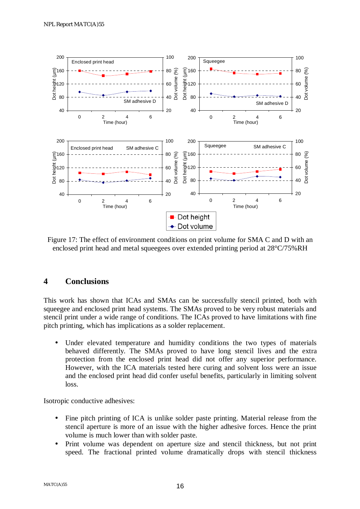

Figure 17: The effect of environment conditions on print volume for SMA C and D with an enclosed print head and metal squeegees over extended printing period at 28°C/75%RH

### **4 Conclusions**

This work has shown that ICAs and SMAs can be successfully stencil printed, both with squeegee and enclosed print head systems. The SMAs proved to be very robust materials and stencil print under a wide range of conditions. The ICAs proved to have limitations with fine pitch printing, which has implications as a solder replacement.

• Under elevated temperature and humidity conditions the two types of materials behaved differently. The SMAs proved to have long stencil lives and the extra protection from the enclosed print head did not offer any superior performance. However, with the ICA materials tested here curing and solvent loss were an issue and the enclosed print head did confer useful benefits, particularly in limiting solvent loss.

Isotropic conductive adhesives:

- Fine pitch printing of ICA is unlike solder paste printing. Material release from the stencil aperture is more of an issue with the higher adhesive forces. Hence the print volume is much lower than with solder paste.
- Print volume was dependent on aperture size and stencil thickness, but not print speed. The fractional printed volume dramatically drops with stencil thickness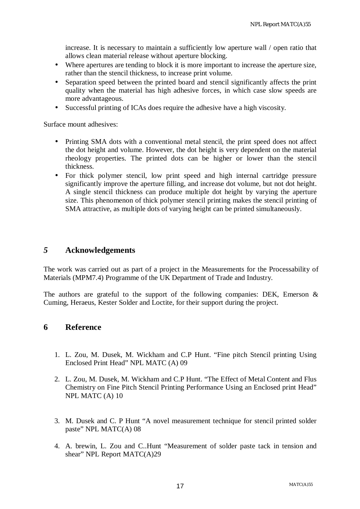increase. It is necessary to maintain a sufficiently low aperture wall / open ratio that allows clean material release without aperture blocking.

- Where apertures are tending to block it is more important to increase the aperture size. rather than the stencil thickness, to increase print volume.
- Separation speed between the printed board and stencil significantly affects the print quality when the material has high adhesive forces, in which case slow speeds are more advantageous.
- Successful printing of ICAs does require the adhesive have a high viscosity.

Surface mount adhesives:

- Printing SMA dots with a conventional metal stencil, the print speed does not affect the dot height and volume. However, the dot height is very dependent on the material rheology properties. The printed dots can be higher or lower than the stencil thickness.
- For thick polymer stencil, low print speed and high internal cartridge pressure significantly improve the aperture filling, and increase dot volume, but not dot height. A single stencil thickness can produce multiple dot height by varying the aperture size. This phenomenon of thick polymer stencil printing makes the stencil printing of SMA attractive, as multiple dots of varying height can be printed simultaneously.

### *5* **Acknowledgements**

The work was carried out as part of a project in the Measurements for the Processability of Materials (MPM7.4) Programme of the UK Department of Trade and Industry.

The authors are grateful to the support of the following companies: DEK, Emerson & Cuming, Heraeus, Kester Solder and Loctite, for their support during the project.

### **6 Reference**

- 1. L. Zou, M. Dusek, M. Wickham and C.P Hunt. "Fine pitch Stencil printing Using Enclosed Print Head" NPL MATC (A) 09
- 2. L. Zou, M. Dusek, M. Wickham and C.P Hunt. "The Effect of Metal Content and Flus Chemistry on Fine Pitch Stencil Printing Performance Using an Enclosed print Head" NPL MATC (A) 10
- 3. M. Dusek and C. P Hunt "A novel measurement technique for stencil printed solder paste" NPL MATC(A) 08
- 4. A. brewin, L. Zou and C..Hunt "Measurement of solder paste tack in tension and shear" NPL Report MATC(A)29